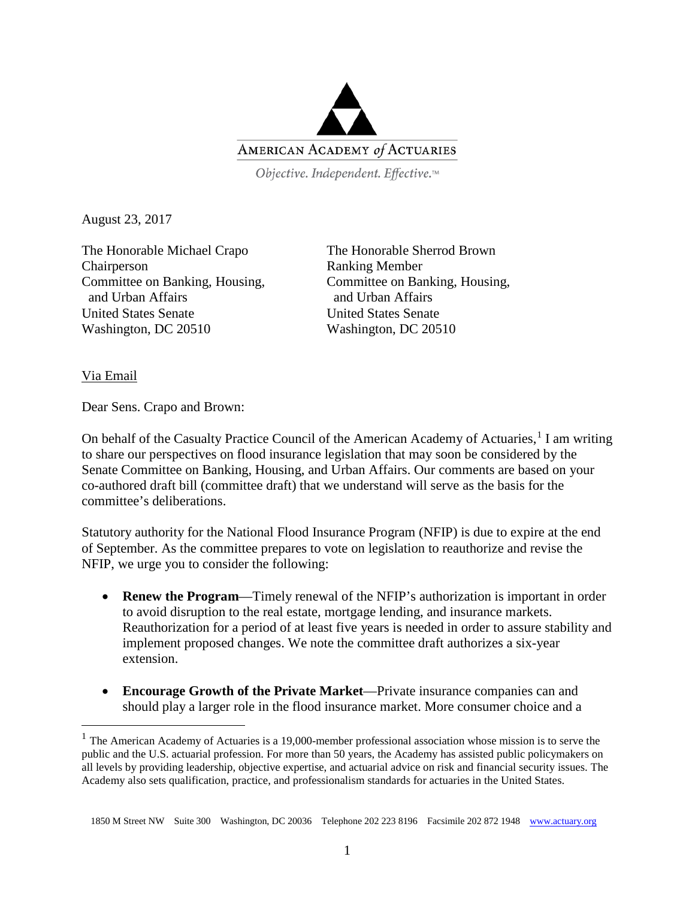

Objective. Independent. Effective.™

August 23, 2017

The Honorable Michael Crapo The Honorable Sherrod Brown Chairperson Ranking Member Committee on Banking, Housing, Committee on Banking, Housing, and Urban Affairs and Urban Affairs United States Senate United States Senate Washington, DC 20510 Washington, DC 20510

Via Email

Dear Sens. Crapo and Brown:

On behalf of the Casualty Practice Council of the American Academy of Actuaries,<sup>[1](#page-0-0)</sup> I am writing to share our perspectives on flood insurance legislation that may soon be considered by the Senate Committee on Banking, Housing, and Urban Affairs. Our comments are based on your co-authored draft bill (committee draft) that we understand will serve as the basis for the committee's deliberations.

Statutory authority for the National Flood Insurance Program (NFIP) is due to expire at the end of September. As the committee prepares to vote on legislation to reauthorize and revise the NFIP, we urge you to consider the following:

- **Renew the Program**—Timely renewal of the NFIP's authorization is important in order to avoid disruption to the real estate, mortgage lending, and insurance markets. Reauthorization for a period of at least five years is needed in order to assure stability and implement proposed changes. We note the committee draft authorizes a six-year extension.
- **Encourage Growth of the Private Market**—Private insurance companies can and should play a larger role in the flood insurance market. More consumer choice and a

<span id="page-0-0"></span><sup>&</sup>lt;sup>1</sup> The American Academy of Actuaries is a 19,000-member professional association whose mission is to serve the public and the U.S. actuarial profession. For more than 50 years, the Academy has assisted public policymakers on all levels by providing leadership, objective expertise, and actuarial advice on risk and financial security issues. The Academy also sets qualification, practice, and professionalism standards for actuaries in the United States.

 <sup>1850</sup> M Street NW Suite 300 Washington, DC 20036 Telephone 202 223 8196 Facsimile 202 872 1948 [www.actuary.org](http://www.actuary.org/)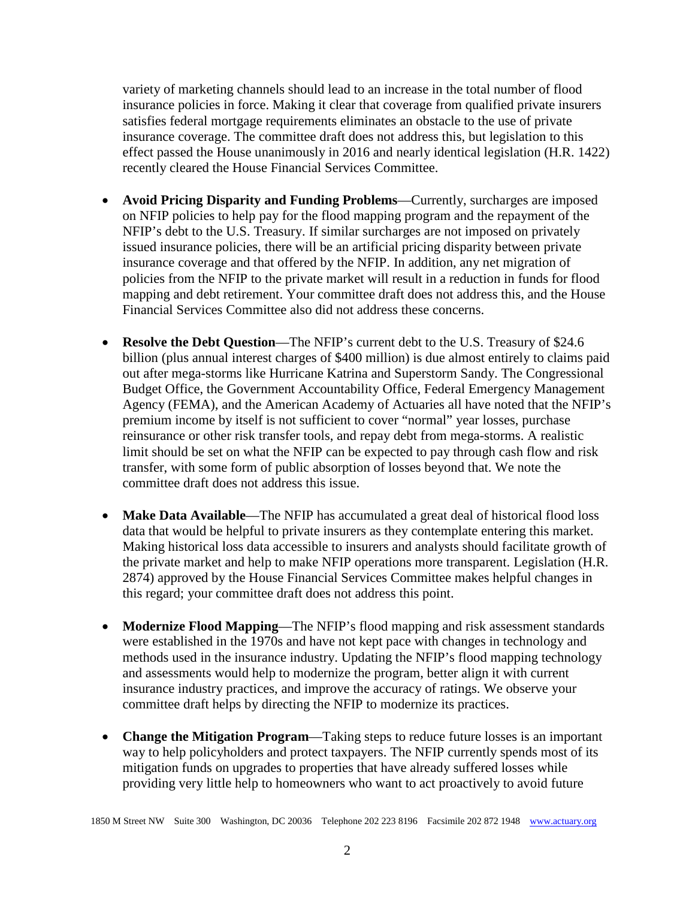variety of marketing channels should lead to an increase in the total number of flood insurance policies in force. Making it clear that coverage from qualified private insurers satisfies federal mortgage requirements eliminates an obstacle to the use of private insurance coverage. The committee draft does not address this, but legislation to this effect passed the House unanimously in 2016 and nearly identical legislation (H.R. 1422) recently cleared the House Financial Services Committee.

- **Avoid Pricing Disparity and Funding Problems**—Currently, surcharges are imposed on NFIP policies to help pay for the flood mapping program and the repayment of the NFIP's debt to the U.S. Treasury. If similar surcharges are not imposed on privately issued insurance policies, there will be an artificial pricing disparity between private insurance coverage and that offered by the NFIP. In addition, any net migration of policies from the NFIP to the private market will result in a reduction in funds for flood mapping and debt retirement. Your committee draft does not address this, and the House Financial Services Committee also did not address these concerns.
- **Resolve the Debt Question**—The NFIP's current debt to the U.S. Treasury of \$24.6 billion (plus annual interest charges of \$400 million) is due almost entirely to claims paid out after mega-storms like Hurricane Katrina and Superstorm Sandy. The Congressional Budget Office, the Government Accountability Office, Federal Emergency Management Agency (FEMA), and the American Academy of Actuaries all have noted that the NFIP's premium income by itself is not sufficient to cover "normal" year losses, purchase reinsurance or other risk transfer tools, and repay debt from mega-storms. A realistic limit should be set on what the NFIP can be expected to pay through cash flow and risk transfer, with some form of public absorption of losses beyond that. We note the committee draft does not address this issue.
- **Make Data Available—The NFIP has accumulated a great deal of historical flood loss** data that would be helpful to private insurers as they contemplate entering this market. Making historical loss data accessible to insurers and analysts should facilitate growth of the private market and help to make NFIP operations more transparent. Legislation (H.R. 2874) approved by the House Financial Services Committee makes helpful changes in this regard; your committee draft does not address this point.
- **Modernize Flood Mapping**—The NFIP's flood mapping and risk assessment standards were established in the 1970s and have not kept pace with changes in technology and methods used in the insurance industry. Updating the NFIP's flood mapping technology and assessments would help to modernize the program, better align it with current insurance industry practices, and improve the accuracy of ratings. We observe your committee draft helps by directing the NFIP to modernize its practices.
- **Change the Mitigation Program**—Taking steps to reduce future losses is an important way to help policyholders and protect taxpayers. The NFIP currently spends most of its mitigation funds on upgrades to properties that have already suffered losses while providing very little help to homeowners who want to act proactively to avoid future